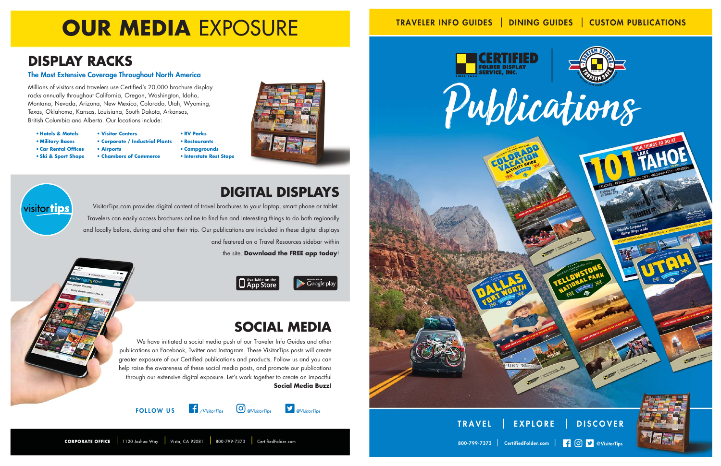



800-799-7373 | CertifiedFolder.com |  $\Box$   $\Box$  @VisitorTips

#### TRAVELER INFO GUIDES | DINING GUIDES | CUSTOM PUBLICATIONS

# **OUR MEDIA EXPOSURE**

#### **DISPLAY RACKS**

#### The Most Extensive Coverage Throughout North America

Millions of visitors and travelers use Certified's 20,000 brochure display racks annually throughout California, Oregon, Washington, Idaho, Montana, Nevada, Arizona, New Mexico, Colorado, Utah, Wyoming, Texas, Oklahoma, Kansas, Louisiana, South Dakota, Arkansas, British Columbia and Alberta. Our locations include:

- **Hotels & Motels Visitor Centers RV Parks**
- 
- **Military Bases Corporate / Industrial Plants Restaurants**
- 
- 
- **Car Rental Offices Airports Campgrounds**
- **Ski & Sport Shops Chambers of Commerce Interstate Rest Stops**



### **DIGITAL DISPLAYS**



VisitorTips.com provides digital content of travel brochures to your laptop, smart phone or tablet. Travelers can easily access brochures online to find fun and interesting things to do both regionally and locally before, during and after their trip. Our publications are included in these digital displays and featured on a Travel Resources sidebar within

the site. **Download the FREE app today**!



## **SOCIAL MEDIA**

We have initiated a social media push of our Traveler Info Guides and other publications on Facebook, Twitter and Instagram. These VisitorTips posts will create greater exposure of our Certified publications and products. Follow us and you can help raise the awareness of these social media posts, and promote our publications through our extensive digital exposure. Let's work together to create an impactful **Social Media Buzz**!